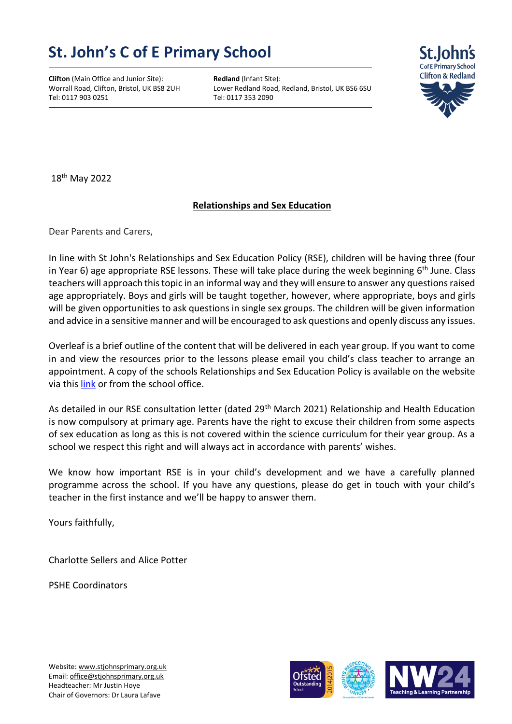## **St. John's C of E Primary School**

**Clifton** (Main Office and Junior Site): **Redland** (Infant Site): **Worrall Road, Clifton, Bristol, UK BS8 2UH** Lower Redland Road, Tel: 0117 903 0251

Lower Redland Road, Redland, Bristol, UK BS6 6SU<br>Tel: 0117 353 2090



18 th May 2022

## **Relationships and Sex Education**

Dear Parents and Carers,

In line with St John's Relationships and Sex Education Policy (RSE), children will be having three (four in Year 6) age appropriate RSE lessons. These will take place during the week beginning 6<sup>th</sup> June. Class teachers will approach this topic in an informal way and they will ensure to answer any questions raised age appropriately. Boys and girls will be taught together, however, where appropriate, boys and girls will be given opportunities to ask questions in single sex groups. The children will be given information and advice in a sensitive manner and will be encouraged to ask questions and openly discuss any issues.

Overleaf is a brief outline of the content that will be delivered in each year group. If you want to come in and view the resources prior to the lessons please email you child's class teacher to arrange an appointment. A copy of the schools Relationships and Sex Education Policy is available on the website via this [link](https://www.stjohnsprimary.org.uk/school/parent-info/documents-library/) or from the school office.

As detailed in our RSE consultation letter (dated 29<sup>th</sup> March 2021) Relationship and Health Education is now compulsory at primary age. Parents have the right to excuse their children from some aspects of sex education as long as this is not covered within the science curriculum for their year group. As a school we respect this right and will always act in accordance with parents' wishes.

We know how important RSE is in your child's development and we have a carefully planned programme across the school. If you have any questions, please do get in touch with your child's teacher in the first instance and we'll be happy to answer them.

Yours faithfully,

Charlotte Sellers and Alice Potter

PSHE Coordinators